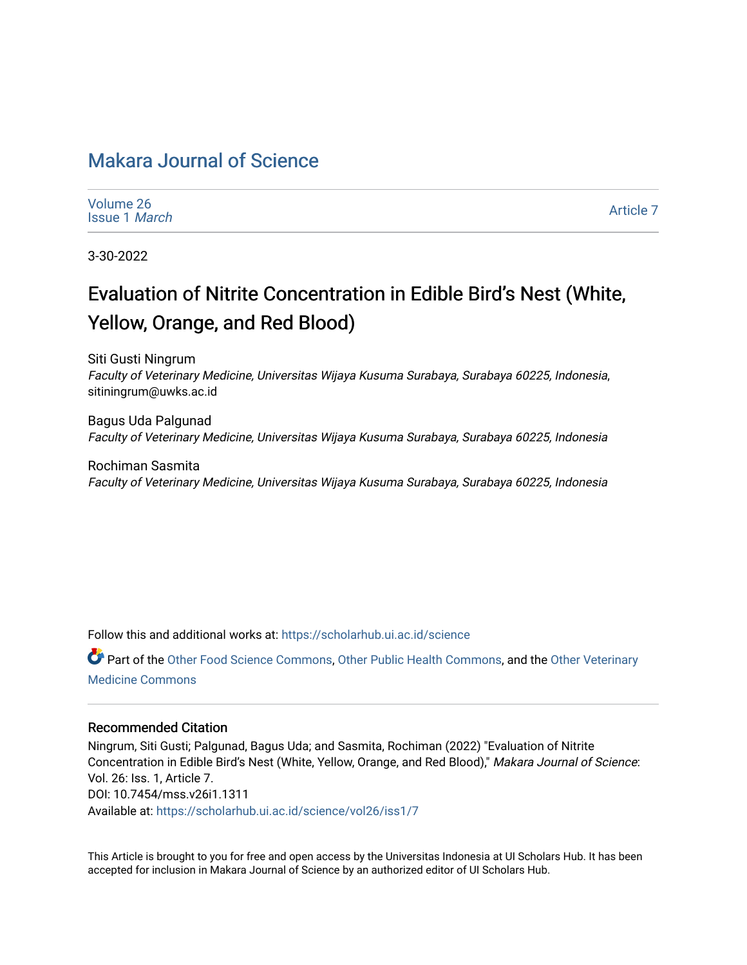## [Makara Journal of Science](https://scholarhub.ui.ac.id/science)

| Volume 26 |                      |
|-----------|----------------------|
|           | Issue 1 <i>March</i> |

[Article 7](https://scholarhub.ui.ac.id/science/vol26/iss1/7) 

3-30-2022

# Evaluation of Nitrite Concentration in Edible Bird's Nest (White, Yellow, Orange, and Red Blood)

Siti Gusti Ningrum Faculty of Veterinary Medicine, Universitas Wijaya Kusuma Surabaya, Surabaya 60225, Indonesia, sitiningrum@uwks.ac.id

Bagus Uda Palgunad Faculty of Veterinary Medicine, Universitas Wijaya Kusuma Surabaya, Surabaya 60225, Indonesia

Rochiman Sasmita Faculty of Veterinary Medicine, Universitas Wijaya Kusuma Surabaya, Surabaya 60225, Indonesia

Follow this and additional works at: [https://scholarhub.ui.ac.id/science](https://scholarhub.ui.ac.id/science?utm_source=scholarhub.ui.ac.id%2Fscience%2Fvol26%2Fiss1%2F7&utm_medium=PDF&utm_campaign=PDFCoverPages) 

Part of the [Other Food Science Commons,](http://network.bepress.com/hgg/discipline/89?utm_source=scholarhub.ui.ac.id%2Fscience%2Fvol26%2Fiss1%2F7&utm_medium=PDF&utm_campaign=PDFCoverPages) [Other Public Health Commons](http://network.bepress.com/hgg/discipline/748?utm_source=scholarhub.ui.ac.id%2Fscience%2Fvol26%2Fiss1%2F7&utm_medium=PDF&utm_campaign=PDFCoverPages), and the [Other Veterinary](http://network.bepress.com/hgg/discipline/771?utm_source=scholarhub.ui.ac.id%2Fscience%2Fvol26%2Fiss1%2F7&utm_medium=PDF&utm_campaign=PDFCoverPages) [Medicine Commons](http://network.bepress.com/hgg/discipline/771?utm_source=scholarhub.ui.ac.id%2Fscience%2Fvol26%2Fiss1%2F7&utm_medium=PDF&utm_campaign=PDFCoverPages)

#### Recommended Citation

Ningrum, Siti Gusti; Palgunad, Bagus Uda; and Sasmita, Rochiman (2022) "Evaluation of Nitrite Concentration in Edible Bird's Nest (White, Yellow, Orange, and Red Blood)," Makara Journal of Science: Vol. 26: Iss. 1, Article 7. DOI: 10.7454/mss.v26i1.1311 Available at: [https://scholarhub.ui.ac.id/science/vol26/iss1/7](https://scholarhub.ui.ac.id/science/vol26/iss1/7?utm_source=scholarhub.ui.ac.id%2Fscience%2Fvol26%2Fiss1%2F7&utm_medium=PDF&utm_campaign=PDFCoverPages)

This Article is brought to you for free and open access by the Universitas Indonesia at UI Scholars Hub. It has been accepted for inclusion in Makara Journal of Science by an authorized editor of UI Scholars Hub.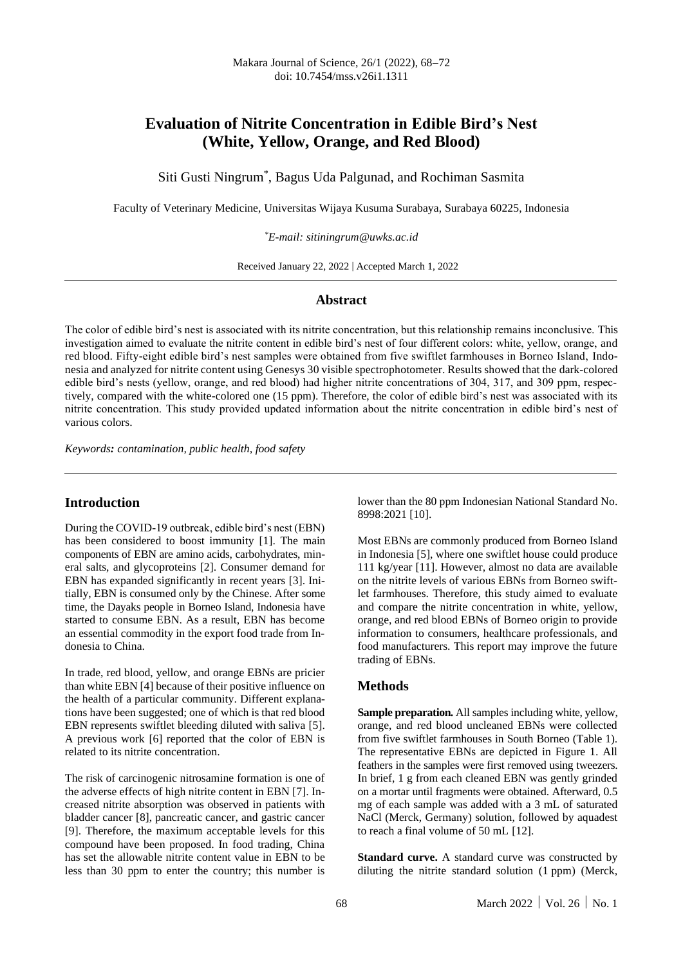### **Evaluation of Nitrite Concentration in Edible Bird's Nest (White, Yellow, Orange, and Red Blood)**

Siti Gusti Ningrum\* , Bagus Uda Palgunad, and Rochiman Sasmita

Faculty of Veterinary Medicine, Universitas Wijaya Kusuma Surabaya, Surabaya 60225, Indonesia

*\*E-mail: sitiningrum@uwks.ac.id*

Received January 22, 2022 | Accepted March 1, 2022

#### **Abstract**

The color of edible bird's nest is associated with its nitrite concentration, but this relationship remains inconclusive. This investigation aimed to evaluate the nitrite content in edible bird's nest of four different colors: white, yellow, orange, and red blood. Fifty-eight edible bird's nest samples were obtained from five swiftlet farmhouses in Borneo Island, Indonesia and analyzed for nitrite content using Genesys 30 visible spectrophotometer. Results showed that the dark-colored edible bird's nests (yellow, orange, and red blood) had higher nitrite concentrations of 304, 317, and 309 ppm, respectively, compared with the white-colored one (15 ppm). Therefore, the color of edible bird's nest was associated with its nitrite concentration. This study provided updated information about the nitrite concentration in edible bird's nest of various colors.

*Keywords: contamination, public health, food safety*

#### **Introduction**

During the COVID-19 outbreak, edible bird's nest (EBN) has been considered to boost immunity [1]. The main components of EBN are amino acids, carbohydrates, mineral salts, and glycoproteins [2]. Consumer demand for EBN has expanded significantly in recent years [3]. Initially, EBN is consumed only by the Chinese. After some time, the Dayaks people in Borneo Island, Indonesia have started to consume EBN. As a result, EBN has become an essential commodity in the export food trade from Indonesia to China.

In trade, red blood, yellow, and orange EBNs are pricier than white EBN [4] because of their positive influence on the health of a particular community. Different explanations have been suggested; one of which is that red blood EBN represents swiftlet bleeding diluted with saliva [5]. A previous work [6] reported that the color of EBN is related to its nitrite concentration.

The risk of carcinogenic nitrosamine formation is one of the adverse effects of high nitrite content in EBN [7]. Increased nitrite absorption was observed in patients with bladder cancer [8], pancreatic cancer, and gastric cancer [9]. Therefore, the maximum acceptable levels for this compound have been proposed. In food trading, China has set the allowable nitrite content value in EBN to be less than 30 ppm to enter the country; this number is

lower than the 80 ppm Indonesian National Standard No. 8998:2021 [10].

Most EBNs are commonly produced from Borneo Island in Indonesia [5], where one swiftlet house could produce 111 kg/year [11]. However, almost no data are available on the nitrite levels of various EBNs from Borneo swiftlet farmhouses. Therefore, this study aimed to evaluate and compare the nitrite concentration in white, yellow, orange, and red blood EBNs of Borneo origin to provide information to consumers, healthcare professionals, and food manufacturers. This report may improve the future trading of EBNs.

#### **Methods**

**Sample preparation.** All samples including white, yellow, orange, and red blood uncleaned EBNs were collected from five swiftlet farmhouses in South Borneo (Table 1). The representative EBNs are depicted in Figure 1. All feathers in the samples were first removed using tweezers. In brief, 1 g from each cleaned EBN was gently grinded on a mortar until fragments were obtained. Afterward, 0.5 mg of each sample was added with a 3 mL of saturated NaCl (Merck, Germany) solution, followed by aquadest to reach a final volume of 50 mL [12].

**Standard curve.** A standard curve was constructed by diluting the nitrite standard solution (1 ppm) (Merck,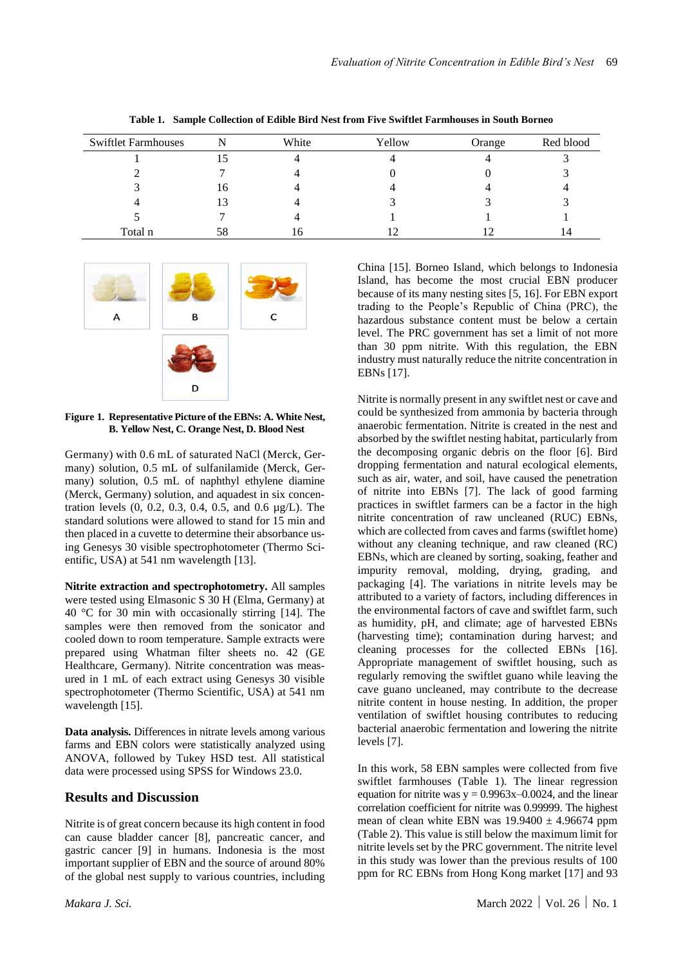| <b>Swiftlet Farmhouses</b> |    | White | Yellow | Orange | Red blood |
|----------------------------|----|-------|--------|--------|-----------|
|                            |    |       |        |        |           |
|                            |    |       |        |        |           |
|                            | 16 |       |        |        |           |
|                            | 13 |       |        |        |           |
|                            |    |       |        |        |           |
| Total n                    | 58 | 16    |        |        |           |

**Table 1. Sample Collection of Edible Bird Nest from Five Swiftlet Farmhouses in South Borneo**



**Figure 1. Representative Picture of the EBNs: A. White Nest, B. Yellow Nest, C. Orange Nest, D. Blood Nest**

Germany) with 0.6 mL of saturated NaCl (Merck, Germany) solution, 0.5 mL of sulfanilamide (Merck, Germany) solution, 0.5 mL of naphthyl ethylene diamine (Merck, Germany) solution, and aquadest in six concentration levels (0, 0.2, 0.3, 0.4, 0.5, and 0.6 µg/L). The standard solutions were allowed to stand for 15 min and then placed in a cuvette to determine their absorbance using Genesys 30 visible spectrophotometer (Thermo Scientific, USA) at 541 nm wavelength [13].

**Nitrite extraction and spectrophotometry.** All samples were tested using Elmasonic S 30 H (Elma, Germany) at 40 °C for 30 min with occasionally stirring [14]. The samples were then removed from the sonicator and cooled down to room temperature. Sample extracts were prepared using Whatman filter sheets no. 42 (GE Healthcare, Germany). Nitrite concentration was measured in 1 mL of each extract using Genesys 30 visible spectrophotometer (Thermo Scientific, USA) at 541 nm wavelength [15].

**Data analysis.** Differences in nitrate levels among various farms and EBN colors were statistically analyzed using ANOVA, followed by Tukey HSD test. All statistical data were processed using SPSS for Windows 23.0.

#### **Results and Discussion**

Nitrite is of great concern because its high content in food can cause bladder cancer [8], pancreatic cancer, and gastric cancer [9] in humans. Indonesia is the most important supplier of EBN and the source of around 80% of the global nest supply to various countries, including

China [15]. Borneo Island, which belongs to Indonesia Island, has become the most crucial EBN producer because of its many nesting sites [5, 16]. For EBN export trading to the People's Republic of China (PRC), the hazardous substance content must be below a certain level. The PRC government has set a limit of not more than 30 ppm nitrite. With this regulation, the EBN industry must naturally reduce the nitrite concentration in EBNs [17].

Nitrite is normally present in any swiftlet nest or cave and could be synthesized from ammonia by bacteria through anaerobic fermentation. Nitrite is created in the nest and absorbed by the swiftlet nesting habitat, particularly from the decomposing organic debris on the floor [6]. Bird dropping fermentation and natural ecological elements, such as air, water, and soil, have caused the penetration of nitrite into EBNs [7]. The lack of good farming practices in swiftlet farmers can be a factor in the high nitrite concentration of raw uncleaned (RUC) EBNs, which are collected from caves and farms (swiftlet home) without any cleaning technique, and raw cleaned (RC) EBNs, which are cleaned by sorting, soaking, feather and impurity removal, molding, drying, grading, and packaging [4]. The variations in nitrite levels may be attributed to a variety of factors, including differences in the environmental factors of cave and swiftlet farm, such as humidity, pH, and climate; age of harvested EBNs (harvesting time); contamination during harvest; and cleaning processes for the collected EBNs [16]. Appropriate management of swiftlet housing, such as regularly removing the swiftlet guano while leaving the cave guano uncleaned, may contribute to the decrease nitrite content in house nesting. In addition, the proper ventilation of swiftlet housing contributes to reducing bacterial anaerobic fermentation and lowering the nitrite levels [7].

In this work, 58 EBN samples were collected from five swiftlet farmhouses (Table 1). The linear regression equation for nitrite was  $y = 0.9963x - 0.0024$ , and the linear correlation coefficient for nitrite was 0.99999. The highest mean of clean white EBN was  $19.9400 \pm 4.96674$  ppm (Table 2). This value is still below the maximum limit for nitrite levels set by the PRC government. The nitrite level in this study was lower than the previous results of 100 ppm for RC EBNs from Hong Kong market [17] and 93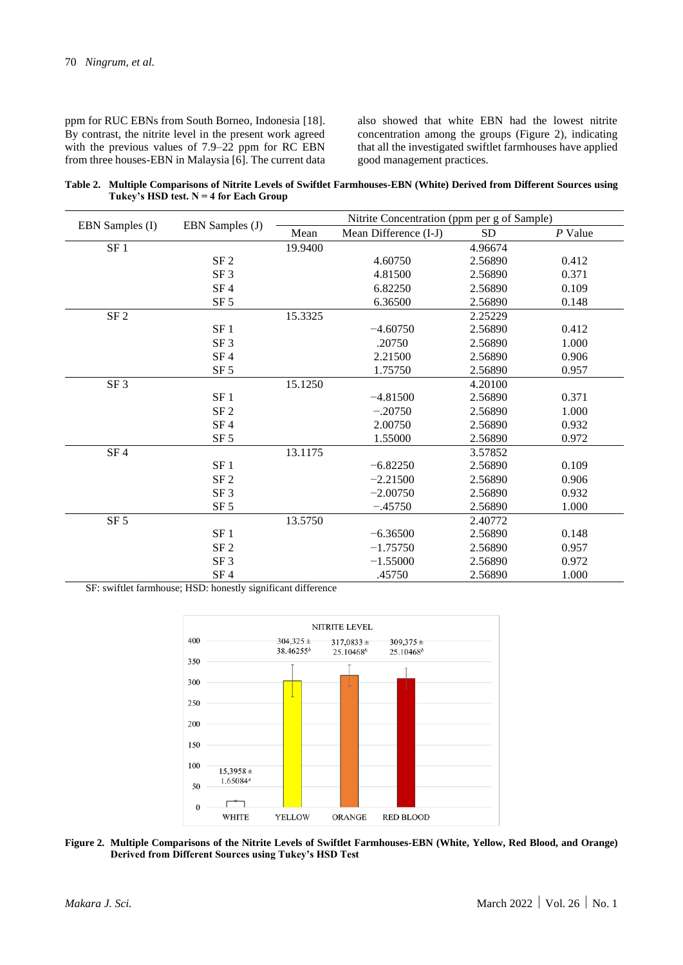ppm for RUC EBNs from South Borneo, Indonesia [18]. By contrast, the nitrite level in the present work agreed with the previous values of 7.9–22 ppm for RC EBN from three houses-EBN in Malaysia [6]. The current data also showed that white EBN had the lowest nitrite concentration among the groups (Figure 2), indicating that all the investigated swiftlet farmhouses have applied good management practices.

**Table 2. Multiple Comparisons of Nitrite Levels of Swiftlet Farmhouses-EBN (White) Derived from Different Sources using Tukey's HSD test. N = 4 for Each Group**

| EBN Samples (I) | EBN Samples (J) | Nitrite Concentration (ppm per g of Sample) |                       |           |           |  |
|-----------------|-----------------|---------------------------------------------|-----------------------|-----------|-----------|--|
|                 |                 | Mean                                        | Mean Difference (I-J) | <b>SD</b> | $P$ Value |  |
| $SF\ 1$         |                 | 19.9400                                     |                       | 4.96674   |           |  |
|                 | SF 2            |                                             | 4.60750               | 2.56890   | 0.412     |  |
|                 | SF <sub>3</sub> |                                             | 4.81500               | 2.56890   | 0.371     |  |
|                 | SF 4            |                                             | 6.82250               | 2.56890   | 0.109     |  |
|                 | SF <sub>5</sub> |                                             | 6.36500               | 2.56890   | 0.148     |  |
| $\rm SF\,2$     |                 | 15.3325                                     |                       | 2.25229   |           |  |
|                 | SF <sub>1</sub> |                                             | $-4.60750$            | 2.56890   | 0.412     |  |
|                 | SF <sub>3</sub> |                                             | .20750                | 2.56890   | 1.000     |  |
|                 | SF 4            |                                             | 2.21500               | 2.56890   | 0.906     |  |
|                 | SF <sub>5</sub> |                                             | 1.75750               | 2.56890   | 0.957     |  |
| SF <sub>3</sub> |                 | 15.1250                                     |                       | 4.20100   |           |  |
|                 | SF <sub>1</sub> |                                             | $-4.81500$            | 2.56890   | 0.371     |  |
|                 | SF <sub>2</sub> |                                             | $-.20750$             | 2.56890   | 1.000     |  |
|                 | SF 4            |                                             | 2.00750               | 2.56890   | 0.932     |  |
|                 | SF <sub>5</sub> |                                             | 1.55000               | 2.56890   | 0.972     |  |
| SF4             |                 | 13.1175                                     |                       | 3.57852   |           |  |
|                 | SF <sub>1</sub> |                                             | $-6.82250$            | 2.56890   | 0.109     |  |
|                 | SF <sub>2</sub> |                                             | $-2.21500$            | 2.56890   | 0.906     |  |
|                 | SF <sub>3</sub> |                                             | $-2.00750$            | 2.56890   | 0.932     |  |
|                 | SF <sub>5</sub> |                                             | $-.45750$             | 2.56890   | 1.000     |  |
| SF <sub>5</sub> |                 | 13.5750                                     |                       | 2.40772   |           |  |
|                 | SF <sub>1</sub> |                                             | $-6.36500$            | 2.56890   | 0.148     |  |
|                 | SF <sub>2</sub> |                                             | $-1.75750$            | 2.56890   | 0.957     |  |
|                 | SF <sub>3</sub> |                                             | $-1.55000$            | 2.56890   | 0.972     |  |
|                 | SF 4            |                                             | .45750                | 2.56890   | 1.000     |  |

SF: swiftlet farmhouse; HSD: honestly significant difference



**Figure 2. Multiple Comparisons of the Nitrite Levels of Swiftlet Farmhouses-EBN (White, Yellow, Red Blood, and Orange) Derived from Different Sources using Tukey's HSD Test**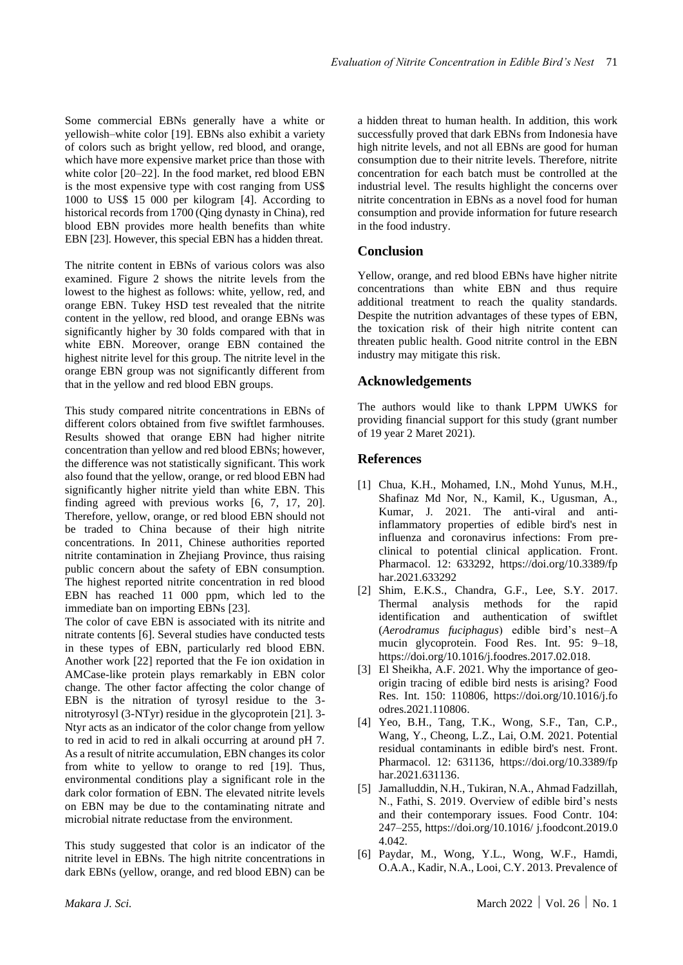Some commercial EBNs generally have a white or yellowish–white color [19]. EBNs also exhibit a variety of colors such as bright yellow, red blood, and orange, which have more expensive market price than those with white color [20–22]. In the food market, red blood EBN is the most expensive type with cost ranging from US\$ 1000 to US\$ 15 000 per kilogram [4]. According to historical records from 1700 (Qing dynasty in China), red blood EBN provides more health benefits than white EBN [23]. However, this special EBN has a hidden threat.

The nitrite content in EBNs of various colors was also examined. Figure 2 shows the nitrite levels from the lowest to the highest as follows: white, yellow, red, and orange EBN. Tukey HSD test revealed that the nitrite content in the yellow, red blood, and orange EBNs was significantly higher by 30 folds compared with that in white EBN. Moreover, orange EBN contained the highest nitrite level for this group. The nitrite level in the orange EBN group was not significantly different from that in the yellow and red blood EBN groups.

This study compared nitrite concentrations in EBNs of different colors obtained from five swiftlet farmhouses. Results showed that orange EBN had higher nitrite concentration than yellow and red blood EBNs; however, the difference was not statistically significant. This work also found that the yellow, orange, or red blood EBN had significantly higher nitrite yield than white EBN. This finding agreed with previous works [6, 7, 17, 20]. Therefore, yellow, orange, or red blood EBN should not be traded to China because of their high nitrite concentrations. In 2011, Chinese authorities reported nitrite contamination in Zhejiang Province, thus raising public concern about the safety of EBN consumption. The highest reported nitrite concentration in red blood EBN has reached 11 000 ppm, which led to the immediate ban on importing EBNs [23].

The color of cave EBN is associated with its nitrite and nitrate contents [6]. Several studies have conducted tests in these types of EBN, particularly red blood EBN. Another work [22] reported that the Fe ion oxidation in AMCase-like protein plays remarkably in EBN color change. The other factor affecting the color change of EBN is the nitration of tyrosyl residue to the 3 nitrotyrosyl (3-NTyr) residue in the glycoprotein [21]. 3- Ntyr acts as an indicator of the color change from yellow to red in acid to red in alkali occurring at around pH 7. As a result of nitrite accumulation, EBN changes its color from white to yellow to orange to red [19]. Thus, environmental conditions play a significant role in the dark color formation of EBN. The elevated nitrite levels on EBN may be due to the contaminating nitrate and microbial nitrate reductase from the environment.

This study suggested that color is an indicator of the nitrite level in EBNs. The high nitrite concentrations in dark EBNs (yellow, orange, and red blood EBN) can be a hidden threat to human health. In addition, this work successfully proved that dark EBNs from Indonesia have high nitrite levels, and not all EBNs are good for human consumption due to their nitrite levels. Therefore, nitrite concentration for each batch must be controlled at the industrial level. The results highlight the concerns over nitrite concentration in EBNs as a novel food for human consumption and provide information for future research in the food industry.

#### **Conclusion**

Yellow, orange, and red blood EBNs have higher nitrite concentrations than white EBN and thus require additional treatment to reach the quality standards. Despite the nutrition advantages of these types of EBN, the toxication risk of their high nitrite content can threaten public health. Good nitrite control in the EBN industry may mitigate this risk.

#### **Acknowledgements**

The authors would like to thank LPPM UWKS for providing financial support for this study (grant number of 19 year 2 Maret 2021).

#### **References**

- [1] Chua, K.H., Mohamed, I.N., Mohd Yunus, M.H., Shafinaz Md Nor, N., Kamil, K., Ugusman, A., Kumar, J. 2021. The anti-viral and antiinflammatory properties of edible bird's nest in influenza and coronavirus infections: From preclinical to potential clinical application. Front. Pharmacol. 12: 633292, https://doi.org/10.3389/fp har.2021.633292
- [2] Shim, E.K.S., Chandra, G.F., Lee, S.Y. 2017. Thermal analysis methods for the rapid identification and authentication of swiftlet (*Aerodramus fuciphagus*) edible bird's nest–A mucin glycoprotein. Food Res. Int. 95: 9–18, https://doi.org/10.1016/j.foodres.2017.02.018.
- [3] El Sheikha, A.F. 2021. Why the importance of geoorigin tracing of edible bird nests is arising? Food Res. Int. 150: 110806, https://doi.org/10.1016/j.fo odres.2021.110806.
- [4] Yeo, B.H., Tang, T.K., Wong, S.F., Tan, C.P., Wang, Y., Cheong, L.Z., Lai, O.M. 2021. Potential residual contaminants in edible bird's nest. Front. Pharmacol. 12: 631136, https://doi.org/10.3389/fp har.2021.631136.
- [5] Jamalluddin, N.H., Tukiran, N.A., Ahmad Fadzillah, N., Fathi, S. 2019. Overview of edible bird's nests and their contemporary issues. Food Contr. 104: 247–255, https://doi.org/10.1016/ j.foodcont.2019.0 4.042.
- [6] Paydar, M., Wong, Y.L., Wong, W.F., Hamdi, O.A.A., Kadir, N.A., Looi, C.Y. 2013. Prevalence of